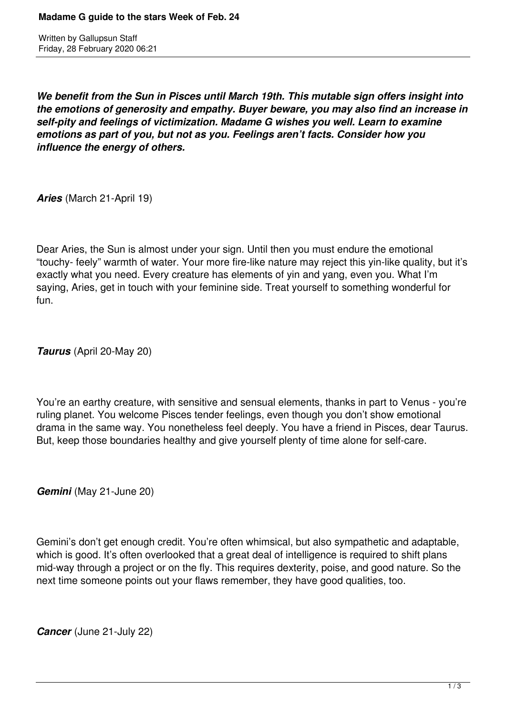Written by Gallupsun Staff Friday, 28 February 2020 06:21

*We benefit from the Sun in Pisces until March 19th. This mutable sign offers insight into the emotions of generosity and empathy. Buyer beware, you may also find an increase in self-pity and feelings of victimization. Madame G wishes you well. Learn to examine emotions as part of you, but not as you. Feelings aren't facts. Consider how you influence the energy of others.* 

*Aries* (March 21-April 19)

Dear Aries, the Sun is almost under your sign. Until then you must endure the emotional "touchy- feely" warmth of water. Your more fire-like nature may reject this yin-like quality, but it's exactly what you need. Every creature has elements of yin and yang, even you. What I'm saying, Aries, get in touch with your feminine side. Treat yourself to something wonderful for fun.

*Taurus* (April 20-May 20)

You're an earthy creature, with sensitive and sensual elements, thanks in part to Venus - you're ruling planet. You welcome Pisces tender feelings, even though you don't show emotional drama in the same way. You nonetheless feel deeply. You have a friend in Pisces, dear Taurus. But, keep those boundaries healthy and give yourself plenty of time alone for self-care.

*Gemini* (May 21-June 20)

Gemini's don't get enough credit. You're often whimsical, but also sympathetic and adaptable, which is good. It's often overlooked that a great deal of intelligence is required to shift plans mid-way through a project or on the fly. This requires dexterity, poise, and good nature. So the next time someone points out your flaws remember, they have good qualities, too.

*Cancer* (June 21-July 22)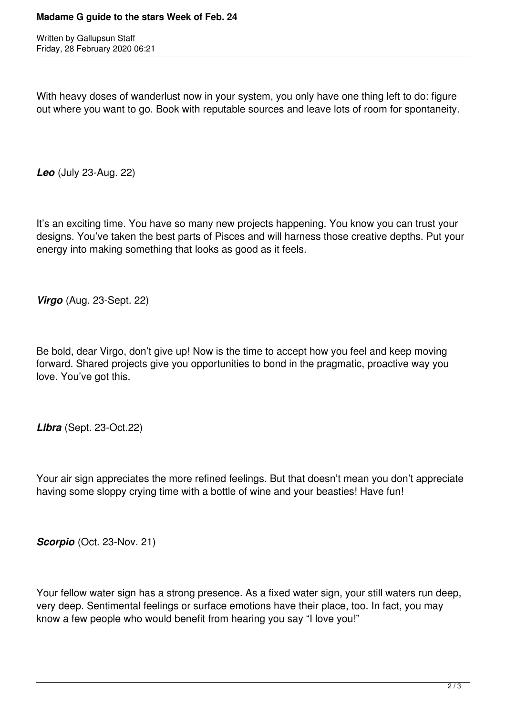Written by Gallupsun Staff Friday, 28 February 2020 06:21

With heavy doses of wanderlust now in your system, you only have one thing left to do: figure out where you want to go. Book with reputable sources and leave lots of room for spontaneity.

*Leo* (July 23-Aug. 22)

It's an exciting time. You have so many new projects happening. You know you can trust your designs. You've taken the best parts of Pisces and will harness those creative depths. Put your energy into making something that looks as good as it feels.

*Virgo* (Aug. 23-Sept. 22)

Be bold, dear Virgo, don't give up! Now is the time to accept how you feel and keep moving forward. Shared projects give you opportunities to bond in the pragmatic, proactive way you love. You've got this.

*Libra* (Sept. 23-Oct.22)

Your air sign appreciates the more refined feelings. But that doesn't mean you don't appreciate having some sloppy crying time with a bottle of wine and your beasties! Have fun!

**Scorpio** (Oct. 23-Nov. 21)

Your fellow water sign has a strong presence. As a fixed water sign, your still waters run deep, very deep. Sentimental feelings or surface emotions have their place, too. In fact, you may know a few people who would benefit from hearing you say "I love you!"